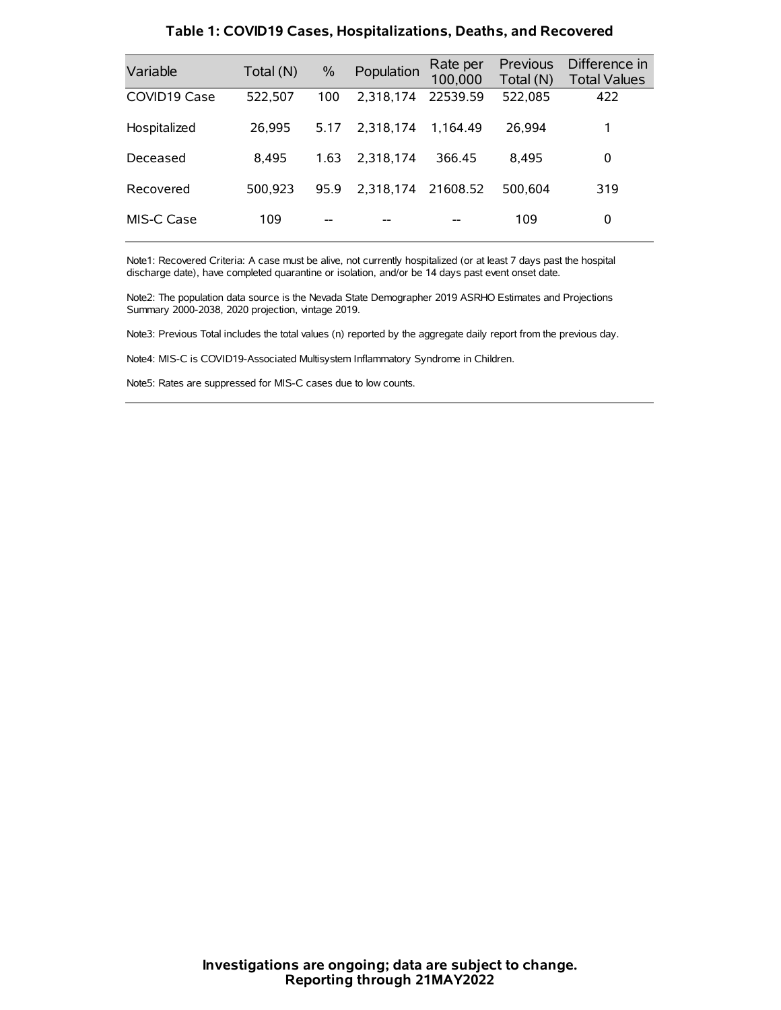| Variable     | Total (N) | $\%$ | Population | Rate per<br>100,000 | Previous<br>Total (N) | Difference in<br><b>Total Values</b> |
|--------------|-----------|------|------------|---------------------|-----------------------|--------------------------------------|
| COVID19 Case | 522,507   | 100  | 2.318.174  | 22539.59            | 522,085               | 422                                  |
| Hospitalized | 26.995    | 5.17 | 2.318.174  | 1.164.49            | 26.994                |                                      |
| Deceased     | 8.495     | 1.63 | 2.318.174  | 366.45              | 8.495                 | 0                                    |
| Recovered    | 500.923   | 95.9 | 2.318.174  | 21608.52            | 500.604               | 319                                  |
| MIS-C Case   | 109       | --   |            |                     | 109                   | 0                                    |

#### **Table 1: COVID19 Cases, Hospitalizations, Deaths, and Recovered**

Note1: Recovered Criteria: A case must be alive, not currently hospitalized (or at least 7 days past the hospital discharge date), have completed quarantine or isolation, and/or be 14 days past event onset date.

Note2: The population data source is the Nevada State Demographer 2019 ASRHO Estimates and Projections Summary 2000-2038, 2020 projection, vintage 2019.

Note3: Previous Total includes the total values (n) reported by the aggregate daily report from the previous day.

Note4: MIS-C is COVID19-Associated Multisystem Inflammatory Syndrome in Children.

Note5: Rates are suppressed for MIS-C cases due to low counts.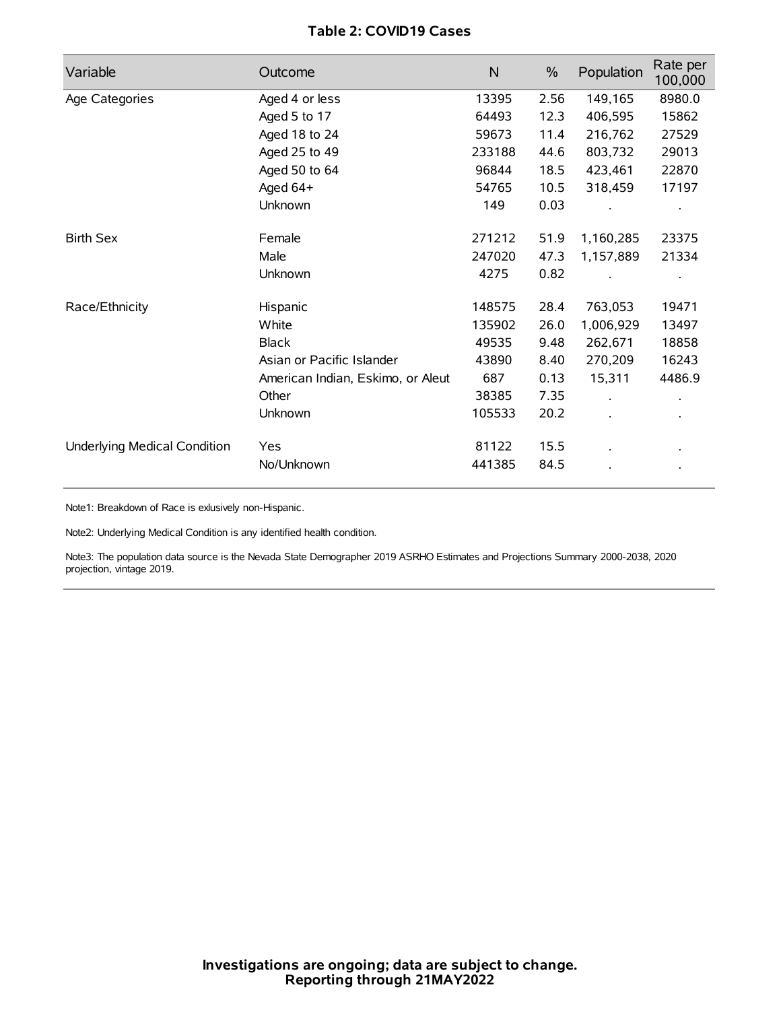# **Table 2: COVID19 Cases**

| Variable                     | Outcome                           | $\mathsf{N}$ | $\%$ | Population           | Rate per<br>100,000 |
|------------------------------|-----------------------------------|--------------|------|----------------------|---------------------|
| Age Categories               | Aged 4 or less                    | 13395        | 2.56 | 149,165              | 8980.0              |
|                              | Aged 5 to 17                      | 64493        | 12.3 | 406,595              | 15862               |
|                              | Aged 18 to 24                     | 59673        | 11.4 | 216,762              | 27529               |
|                              | Aged 25 to 49                     | 233188       | 44.6 | 803,732              | 29013               |
|                              | Aged 50 to 64                     | 96844        | 18.5 | 423,461              | 22870               |
|                              | Aged 64+                          | 54765        | 10.5 | 318,459              | 17197               |
|                              | Unknown                           | 149          | 0.03 |                      |                     |
| <b>Birth Sex</b>             | Female                            | 271212       | 51.9 | 1,160,285            | 23375               |
|                              | Male                              | 247020       | 47.3 | 1,157,889            | 21334               |
|                              | Unknown                           | 4275         | 0.82 |                      |                     |
| Race/Ethnicity               | Hispanic                          | 148575       | 28.4 | 763,053              | 19471               |
|                              | White                             | 135902       | 26.0 | 1,006,929            | 13497               |
|                              | <b>Black</b>                      | 49535        | 9.48 | 262,671              | 18858               |
|                              | Asian or Pacific Islander         | 43890        | 8.40 | 270,209              | 16243               |
|                              | American Indian, Eskimo, or Aleut | 687          | 0.13 | 15,311               | 4486.9              |
|                              | Other                             | 38385        | 7.35 | $\ddot{\phantom{0}}$ |                     |
|                              | Unknown                           | 105533       | 20.2 | ÷.                   |                     |
| Underlying Medical Condition | Yes                               | 81122        | 15.5 |                      |                     |
|                              | No/Unknown                        | 441385       | 84.5 |                      |                     |

Note1: Breakdown of Race is exlusively non-Hispanic.

Note2: Underlying Medical Condition is any identified health condition.

Note3: The population data source is the Nevada State Demographer 2019 ASRHO Estimates and Projections Summary 2000-2038, 2020 projection, vintage 2019.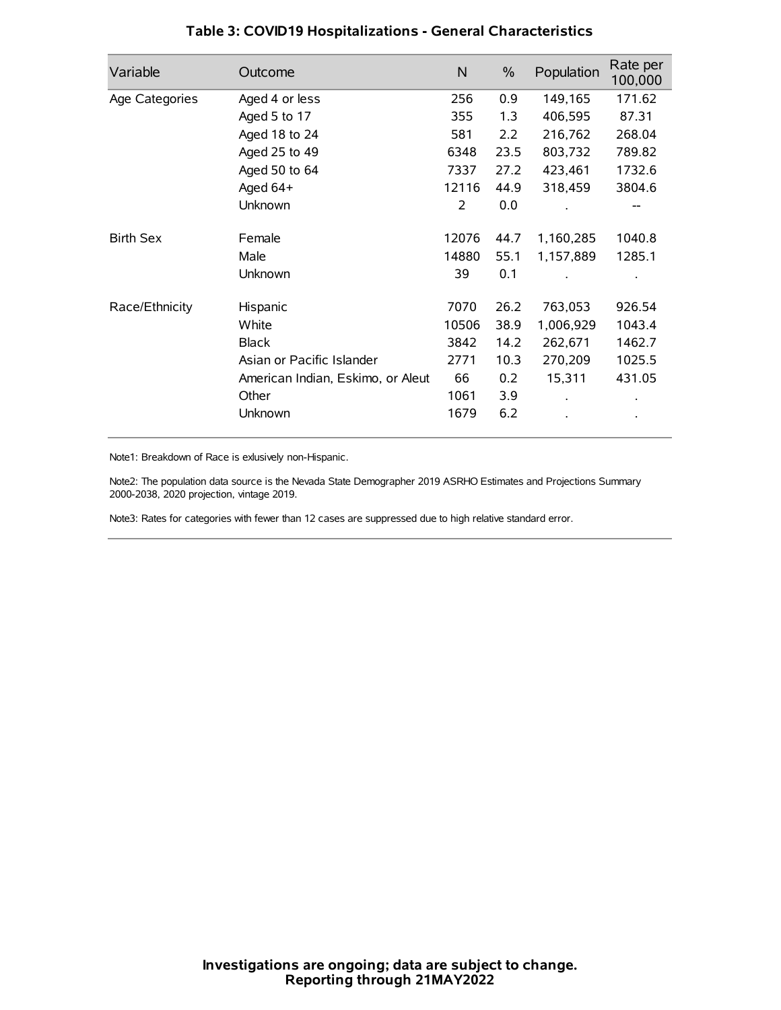| Variable         | Outcome                           | $\mathsf{N}$ | $\%$ | Population | Rate per<br>100,000 |
|------------------|-----------------------------------|--------------|------|------------|---------------------|
| Age Categories   | Aged 4 or less                    | 256          | 0.9  | 149,165    | 171.62              |
|                  | Aged 5 to 17                      | 355          | 1.3  | 406,595    | 87.31               |
|                  | Aged 18 to 24                     | 581          | 2.2  | 216,762    | 268.04              |
|                  | Aged 25 to 49                     | 6348         | 23.5 | 803,732    | 789.82              |
|                  | Aged 50 to 64                     | 7337         | 27.2 | 423,461    | 1732.6              |
|                  | Aged 64+                          | 12116        | 44.9 | 318,459    | 3804.6              |
|                  | Unknown                           | 2            | 0.0  |            |                     |
| <b>Birth Sex</b> | Female                            | 12076        | 44.7 | 1,160,285  | 1040.8              |
|                  | Male                              | 14880        | 55.1 | 1,157,889  | 1285.1              |
|                  | Unknown                           | 39           | 0.1  |            |                     |
| Race/Ethnicity   | Hispanic                          | 7070         | 26.2 | 763,053    | 926.54              |
|                  | White                             | 10506        | 38.9 | 1,006,929  | 1043.4              |
|                  | <b>Black</b>                      | 3842         | 14.2 | 262,671    | 1462.7              |
|                  | Asian or Pacific Islander         | 2771         | 10.3 | 270,209    | 1025.5              |
|                  | American Indian, Eskimo, or Aleut | 66           | 0.2  | 15,311     | 431.05              |
|                  | Other                             | 1061         | 3.9  |            |                     |
|                  | Unknown                           | 1679         | 6.2  |            |                     |

# **Table 3: COVID19 Hospitalizations - General Characteristics**

Note1: Breakdown of Race is exlusively non-Hispanic.

Note2: The population data source is the Nevada State Demographer 2019 ASRHO Estimates and Projections Summary 2000-2038, 2020 projection, vintage 2019.

Note3: Rates for categories with fewer than 12 cases are suppressed due to high relative standard error.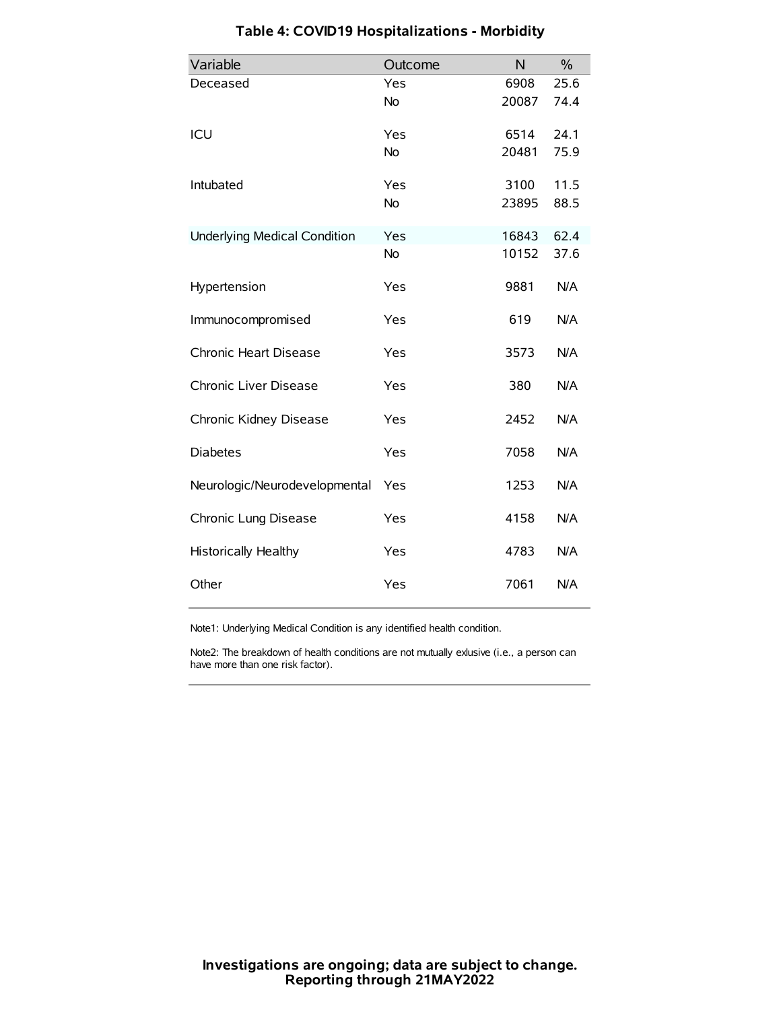| Variable                            | Outcome   | N     | $\frac{0}{0}$ |
|-------------------------------------|-----------|-------|---------------|
| Deceased                            | Yes       | 6908  | 25.6          |
|                                     | No        | 20087 | 74.4          |
| ICU                                 | Yes       | 6514  | 24.1          |
|                                     | <b>No</b> | 20481 | 75.9          |
| Intubated                           | Yes       | 3100  | 11.5          |
|                                     | No        | 23895 | 88.5          |
| <b>Underlying Medical Condition</b> | Yes       | 16843 | 62.4          |
|                                     | <b>No</b> | 10152 | 37.6          |
| Hypertension                        | Yes       | 9881  | N/A           |
| Immunocompromised                   | Yes       | 619   | N/A           |
| Chronic Heart Disease               | Yes       | 3573  | N/A           |
| Chronic Liver Disease               | Yes       | 380   | N/A           |
| Chronic Kidney Disease              | Yes       | 2452  | N/A           |
| <b>Diabetes</b>                     | Yes       | 7058  | N/A           |
| Neurologic/Neurodevelopmental       | Yes       | 1253  | N/A           |
| Chronic Lung Disease                | Yes       | 4158  | N/A           |
| Historically Healthy                | Yes       | 4783  | N/A           |
| Other                               | Yes       | 7061  | N/A           |

# **Table 4: COVID19 Hospitalizations - Morbidity**

Note1: Underlying Medical Condition is any identified health condition.

Note2: The breakdown of health conditions are not mutually exlusive (i.e., a person can have more than one risk factor).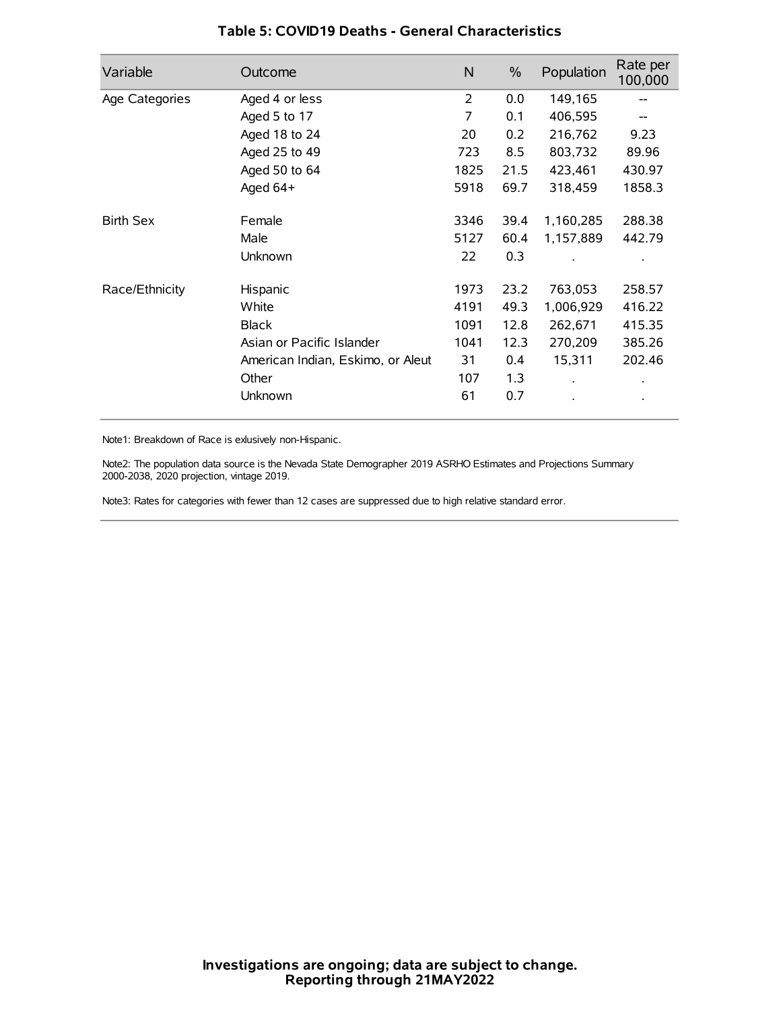| Variable         | Outcome                           | N              | $\%$ | Population           | Rate per<br>100,000 |
|------------------|-----------------------------------|----------------|------|----------------------|---------------------|
| Age Categories   | Aged 4 or less                    | $\overline{2}$ | 0.0  | 149,165              |                     |
|                  | Aged 5 to 17                      | 7              | 0.1  | 406,595              |                     |
|                  | Aged 18 to 24                     | 20             | 0.2  | 216,762              | 9.23                |
|                  | Aged 25 to 49                     | 723            | 8.5  | 803,732              | 89.96               |
|                  | Aged 50 to 64                     | 1825           | 21.5 | 423,461              | 430.97              |
|                  | Aged 64+                          | 5918           | 69.7 | 318,459              | 1858.3              |
| <b>Birth Sex</b> | Female                            | 3346           | 39.4 | 1,160,285            | 288.38              |
|                  | Male                              | 5127           | 60.4 | 1,157,889            | 442.79              |
|                  | Unknown                           | 22             | 0.3  |                      |                     |
| Race/Ethnicity   | Hispanic                          | 1973           | 23.2 | 763,053              | 258.57              |
|                  | White                             | 4191           | 49.3 | 1,006,929            | 416.22              |
|                  | <b>Black</b>                      | 1091           | 12.8 | 262,671              | 415.35              |
|                  | Asian or Pacific Islander         | 1041           | 12.3 | 270,209              | 385.26              |
|                  | American Indian, Eskimo, or Aleut | 31             | 0.4  | 15,311               | 202.46              |
|                  | Other                             | 107            | 1.3  | $\ddot{\phantom{0}}$ | $\bullet$           |
|                  | Unknown                           | 61             | 0.7  |                      | $\bullet$           |

## **Table 5: COVID19 Deaths - General Characteristics**

Note1: Breakdown of Race is exlusively non-Hispanic.

Note2: The population data source is the Nevada State Demographer 2019 ASRHO Estimates and Projections Summary 2000-2038, 2020 projection, vintage 2019.

Note3: Rates for categories with fewer than 12 cases are suppressed due to high relative standard error.